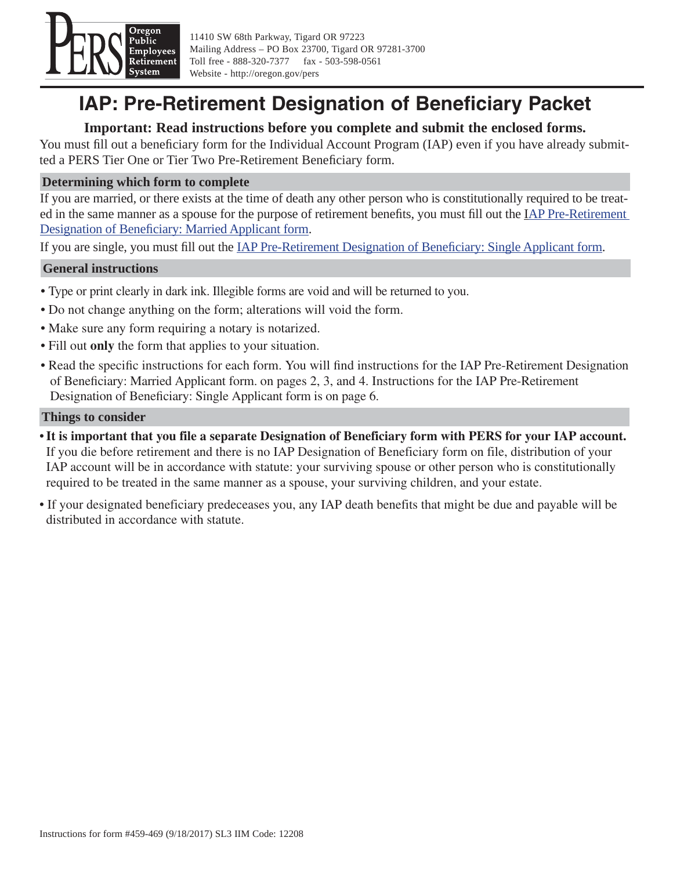

11410 SW 68th Parkway, Tigard OR 97223 Mailing Address – PO Box 23700, Tigard OR 97281-3700 Toll free - 888-320-7377 fax - 503-598-0561 Website - http://oregon.gov/pers

# **IAP: Pre-Retirement Designation of Beneficiary Packet**

# **Important: Read instructions before you complete and submit the enclosed forms.**

You must fill out a beneficiary form for the Individual Account Program (IAP) even if you have already submitted a PERS Tier One or Tier Two Pre-Retirement Beneficiary form.

## **Determining which form to complete**

If you are married, or there exists at the time of death any other person who is constitutionally required to be treat[ed in the same manner as a spouse for the purpose of retirement bene](#page-3-0)fits, you must fill out the IAP Pre-Retirement Designation of Beneficiary: Married Applicant form.

If you are single, you must fill out the **IAP Pre-Retirement Designation of Beneficiary: Single Applicant form.** 

### **General instructions**

- Type or print clearly in dark ink. Illegible forms are void and will be returned to you.
- Do not change anything on the form; alterations will void the form.
- Make sure any form requiring a notary is notarized.
- Fill out **only** the form that applies to your situation.
- Read the specific instructions for each form. You will find instructions for the IAP Pre-Retirement Designation of Beneficiary: Married Applicant form. on pages 2, 3, and 4. Instructions for the IAP Pre-Retirement Designation of Beneficiary: Single Applicant form is on page 6.

#### **Things to consider**

- **It is important that you file a separate Designation of Beneficiary form with PERS for your IAP account.** If you die before retirement and there is no IAP Designation of Beneficiary form on file, distribution of your IAP account will be in accordance with statute: your surviving spouse or other person who is constitutionally required to be treated in the same manner as a spouse, your surviving children, and your estate.
- If your designated beneficiary predeceases you, any IAP death benefits that might be due and payable will be distributed in accordance with statute.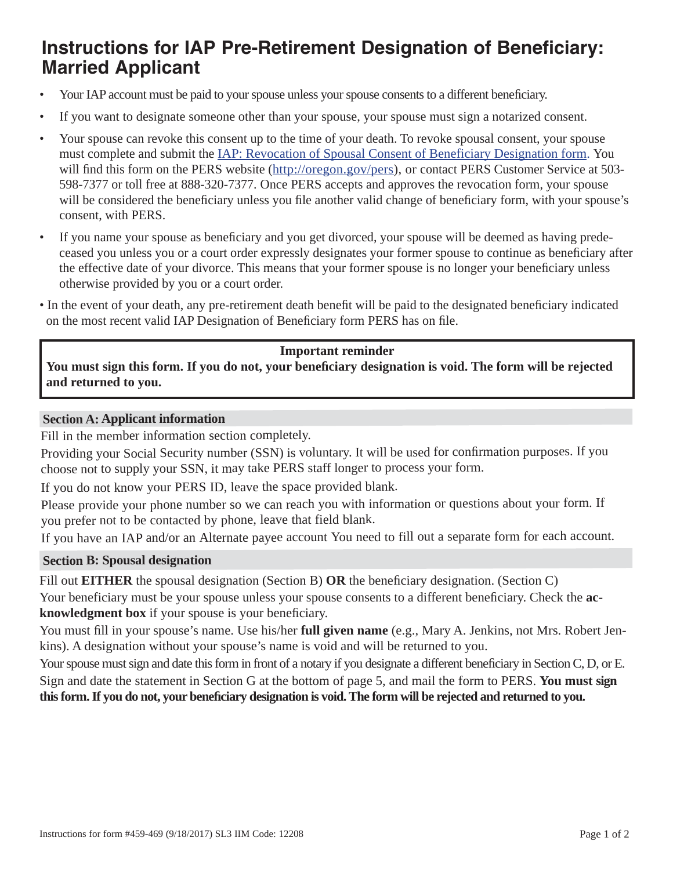# **Instructions for IAP Pre-Retirement Designation of Beneficiary: Married Applicant**

- Your IAP account must be paid to your spouse unless your spouse consents to a different beneficiary.
- If you want to designate someone other than your spouse, your spouse must sign a notarized consent.
- Your spouse can revoke this consent up to the time of your death. To revoke spousal consent, your spouse must complete and submit th[e IAP: Revocation of Spousal Consent of Beneficiary Designation form.](http://www.oregon.gov/pers/Documents/Form/433-IAP-Revocation-of-Spousal-Consent-of-Beneficiary-Designation.pdf) You will find this form on the PERS websit[e \(http://oregon.gov/pers\),](http://www.oregon.gov/pers/Pages/index.aspx) or contact PERS Customer Service at 503-598-7377 or toll free at 888-320-7377. Once PERS accepts and approves the revocation form, your spouse will be considered the beneficiary unless you file another valid change of beneficiary form, with your spouse's consent, with PERS.
- If you name your spouse as beneficiary and you get divorced, your spouse will be deemed as having predeceased you unless you or a court order expressly designates your former spouse to continue as beneficiary after the effective date of your divorce. This means that your former spouse is no longer your beneficiary unless otherwise provided by you or a court order.
- In the event of your death, any pre-retirement death benefit will be paid to the designated beneficiary indicated on the most recent valid IAP Designation of Beneficiary form PERS has on file.

### **Important reminder**

You must sign this form. If you do not, your beneficiary designation is void. The form will be rejected **and returned to you.**

#### **Section A: Applicant information**

Fill in the member information section completely.

Providing your Social Security number (SSN) is voluntary. It will be used for confirmation purposes. If you choose not to supply your SSN, it may take PERS staff longer to process your form.

If you do not know your PERS ID, leave the space provided blank.

Please provide your phone number so we can reach you with information or questions about your form. If you prefer not to be contacted by phone, leave that field blank.

If you have an IAP and/or an Alternate payee account You need to fill out a separate form for each account.

#### **Section B: Spousal designation**

Fill out **EITHER** the spousal designation (Section B) **OR** the beneficiary designation. (Section C)

Your beneficiary must be your spouse unless your spouse consents to a different beneficiary. Check the ac**knowledgment box** if your spouse is your beneficiary.

You must fill in your spouse's name. Use his/her **full given name** (e.g., Mary A. Jenkins, not Mrs. Robert Jenkins). A designation without your spouse's name is void and will be returned to you.

Your spouse must sign and date this form in front of a notary if you designate a different beneficiary in Section C, D, or E. Sign and date the statement in Section G at the bottom of page 5, and mail the form to PERS. **You must sign this form. If you do not, your benefi ciary designation is void. The form will be rejected and returned to you.**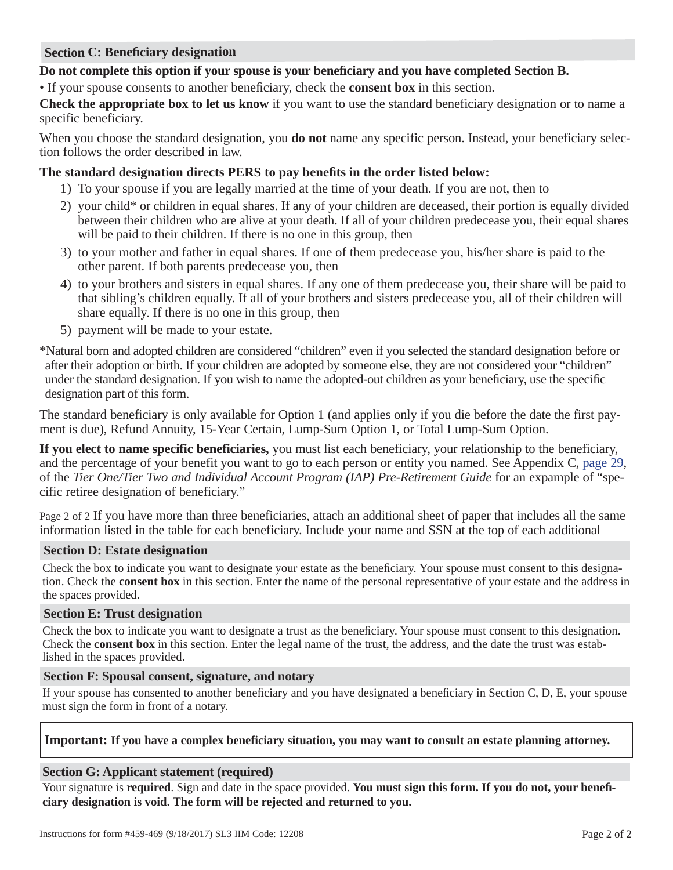#### **Section C: Beneficiary designation**

## Do not complete this option if your spouse is your beneficiary and you have completed Section B.

• If your spouse consents to another beneficiary, check the **consent box** in this section.

**Check the appropriate box to let us know** if you want to use the standard beneficiary designation or to name a specific beneficiary.

When you choose the standard designation, you **do not** name any specific person. Instead, your beneficiary selection follows the order described in law.

## The standard designation directs PERS to pay benefits in the order listed below:

- 1) To your spouse if you are legally married at the time of your death. If you are not, then to
- 2) your child\* or children in equal shares. If any of your children are deceased, their portion is equally divided between their children who are alive at your death. If all of your children predecease you, their equal shares will be paid to their children. If there is no one in this group, then
- 3) to your mother and father in equal shares. If one of them predecease you, his/her share is paid to the other parent. If both parents predecease you, then
- 4) to your brothers and sisters in equal shares. If any one of them predecease you, their share will be paid to that sibling's children equally. If all of your brothers and sisters predecease you, all of their children will share equally. If there is no one in this group, then
- 5) payment will be made to your estate.

\*Natural born and adopted children are considered "children" even if you selected the standard designation before or after their adoption or birth. If your children are adopted by someone else, they are not considered your "children" under the standard designation. If you wish to name the adopted-out children as your beneficiary, use the specific designation part of this form.

The standard beneficiary is only available for Option 1 (and applies only if you die before the date the first payment is due), Refund Annuity, 15-Year Certain, Lump-Sum Option 1, or Total Lump-Sum Option.

**If you elect to name specific beneficiaries,** you must list each beneficiary, your relationship to the beneficiary, and the percentage of your benefit you want to go to each person or entity you named. [See Appendix C, page 29,](http://www.oregon.gov/pers/MEM/Tier-One-Tier-Two/Documents/TierOne-TierTwo-Preretirement-Guide.pdf#page=29)  of the *Tier One/Tier Two and Individual Account Program (IAP) Pre-Retirement Guide* for an expample of "specific retiree designation of beneficiary."

Page 2 of 2 If you have more than three beneficiaries, attach an additional sheet of paper that includes all the same information listed in the table for each beneficiary. Include your name and SSN at the top of each additional

#### **Section D: Estate designation**

Check the box to indicate you want to designate your estate as the beneficiary. Your spouse must consent to this designation. Check the **consent box** in this section. Enter the name of the personal representative of your estate and the address in the spaces provided.

#### **Section E: Trust designation**

Check the box to indicate you want to designate a trust as the beneficiary. Your spouse must consent to this designation. Check the **consent box** in this section. Enter the legal name of the trust, the address, and the date the trust was established in the spaces provided.

#### **Section F: Spousal consent, signature, and notary**

If your spouse has consented to another beneficiary and you have designated a beneficiary in Section C, D, E, your spouse must sign the form in front of a notary.

#### **Important: If you have a complex beneficiary situation, you may want to consult an estate planning attorney.**

#### **Section G: Applicant statement (required)**

Your signature is **required**. Sign and date in the space provided. **You must sign this form. If you do not, your benefi ciary designation is void. The form will be rejected and returned to you.**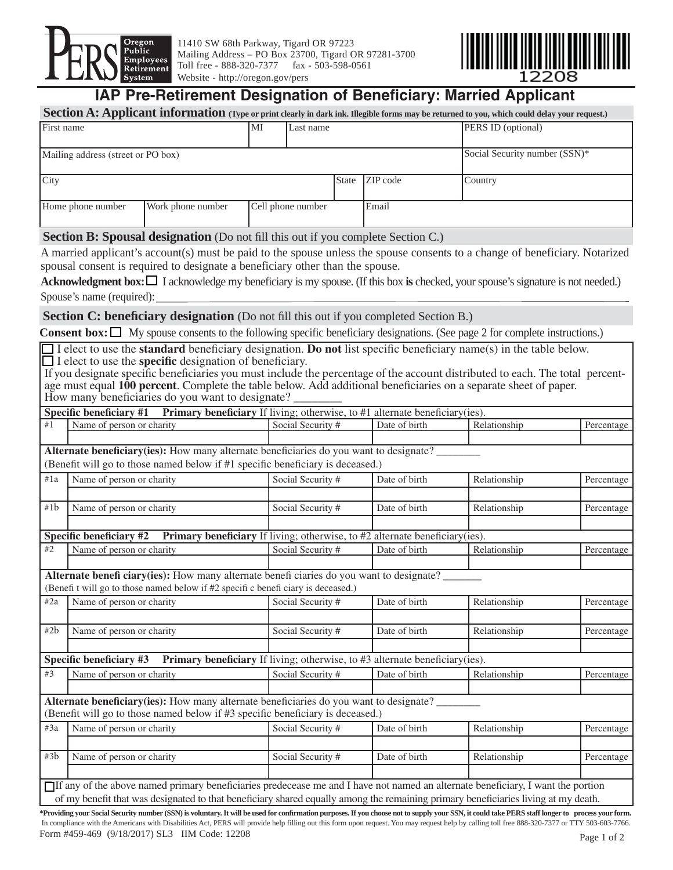<span id="page-3-0"></span>

11410 SW 68th Parkway, Tigard OR 97223 Mailing Address – PO Box 23700, Tigard OR 97281-3700 Toll free - 888-320-7377 fax - 503-598-0561 Website - http://oregon.gov/pers



# **IAP Pre-Retirement Designation of Beneficiary: Married Applicant**

| Section A: Applicant information (Type or print clearly in dark ink. Illegible forms may be returned to you, which could delay your request.) |    |                   |              |          |                    |  |  |
|-----------------------------------------------------------------------------------------------------------------------------------------------|----|-------------------|--------------|----------|--------------------|--|--|
| First name                                                                                                                                    | MI | Last name         |              |          | PERS ID (optional) |  |  |
| Social Security number (SSN)*<br>Mailing address (street or PO box)                                                                           |    |                   |              |          |                    |  |  |
| City                                                                                                                                          |    |                   | <b>State</b> | ZIP code | Country            |  |  |
| Home phone number<br>Work phone number                                                                                                        |    | Cell phone number |              | Email    |                    |  |  |

**Section B: Spousal designation** (Do not fill this out if you complete Section C.)

A married applicant's account(s) must be paid to the spouse unless the spouse consents to a change of beneficiary. Notarized spousal consent is required to designate a beneficiary other than the spouse.

**Acknowledgment box:** I acknowledge my beneficiary is my spouse. (If this box is checked, your spouse's signature is not needed.) Spouse's name (required):

**Section C: beneficiary designation** (Do not fill this out if you completed Section B.)

**Consent box:**  $\Box$  My spouse consents to the following specific beneficiary designations. (See page 2 for complete instructions.)

 $\Box$  I elect to use the **standard** beneficiary designation. **Do not** list specific beneficiary name(s) in the table below.  $\Box$  I elect to use the **specific** designation of beneficiary.

If you designate specific beneficiaries you must include the percentage of the account distributed to each. The total percentage must equal **100 percent**. Complete the table below. Add additional beneficiaries on a separate sheet of paper. How many beneficiaries do you want to designate?

|                                                                                                | <b>Specific beneficiary #1</b> Primary beneficiary If living; otherwise, to #1 alternate beneficiary(ies).                         |                   |               |              |            |  |  |  |  |
|------------------------------------------------------------------------------------------------|------------------------------------------------------------------------------------------------------------------------------------|-------------------|---------------|--------------|------------|--|--|--|--|
| #1                                                                                             | Name of person or charity                                                                                                          | Social Security # | Date of birth | Relationship | Percentage |  |  |  |  |
|                                                                                                |                                                                                                                                    |                   |               |              |            |  |  |  |  |
| <b>Alternate beneficiary (ies):</b> How many alternate beneficiaries do you want to designate? |                                                                                                                                    |                   |               |              |            |  |  |  |  |
|                                                                                                | (Benefit will go to those named below if #1 specific beneficiary is deceased.)                                                     |                   |               |              |            |  |  |  |  |
| #1a                                                                                            | Name of person or charity                                                                                                          | Social Security # | Date of birth | Relationship | Percentage |  |  |  |  |
|                                                                                                |                                                                                                                                    |                   |               |              |            |  |  |  |  |
| #1b                                                                                            | Name of person or charity                                                                                                          | Social Security # | Date of birth | Relationship | Percentage |  |  |  |  |
|                                                                                                |                                                                                                                                    |                   |               |              |            |  |  |  |  |
|                                                                                                | <b>Specific beneficiary #2</b> Primary beneficiary If living; otherwise, to #2 alternate beneficiary(ies).                         |                   |               |              |            |  |  |  |  |
| #2                                                                                             | Name of person or charity                                                                                                          | Social Security # | Date of birth | Relationship | Percentage |  |  |  |  |
|                                                                                                |                                                                                                                                    |                   |               |              |            |  |  |  |  |
|                                                                                                | <b>Alternate benefi ciary(ies):</b> How many alternate benefi ciaries do you want to designate?                                    |                   |               |              |            |  |  |  |  |
|                                                                                                | (Benefit will go to those named below if #2 specific beneficiary is deceased.)                                                     |                   |               |              |            |  |  |  |  |
| #2a                                                                                            | Name of person or charity                                                                                                          | Social Security # | Date of birth | Relationship | Percentage |  |  |  |  |
|                                                                                                |                                                                                                                                    |                   |               |              |            |  |  |  |  |
| #2b                                                                                            | Name of person or charity                                                                                                          | Social Security # | Date of birth | Relationship | Percentage |  |  |  |  |
|                                                                                                |                                                                                                                                    |                   |               |              |            |  |  |  |  |
|                                                                                                | Specific beneficiary $#3$ Primary beneficiary If living; otherwise, to $#3$ alternate beneficiary(ies).                            |                   |               |              |            |  |  |  |  |
| #3                                                                                             | Name of person or charity                                                                                                          | Social Security # | Date of birth | Relationship | Percentage |  |  |  |  |
|                                                                                                |                                                                                                                                    |                   |               |              |            |  |  |  |  |
|                                                                                                | <b>Alternate beneficiary (ies):</b> How many alternate beneficiaries do you want to designate?                                     |                   |               |              |            |  |  |  |  |
|                                                                                                | (Benefit will go to those named below if #3 specific beneficiary is deceased.)                                                     |                   |               |              |            |  |  |  |  |
| #3a                                                                                            | Name of person or charity                                                                                                          | Social Security # | Date of birth | Relationship | Percentage |  |  |  |  |
|                                                                                                |                                                                                                                                    |                   |               |              |            |  |  |  |  |
| #3b                                                                                            | Name of person or charity                                                                                                          | Social Security # | Date of birth | Relationship | Percentage |  |  |  |  |
|                                                                                                |                                                                                                                                    |                   |               |              |            |  |  |  |  |
|                                                                                                | If any of the above named primary beneficiaries predecease me and I have not named an alternate beneficiary, I want the portion    |                   |               |              |            |  |  |  |  |
|                                                                                                | of my benefit that was designated to that beneficiary shared equally among the remaining primary beneficiaries living at my death. |                   |               |              |            |  |  |  |  |
|                                                                                                |                                                                                                                                    |                   |               |              |            |  |  |  |  |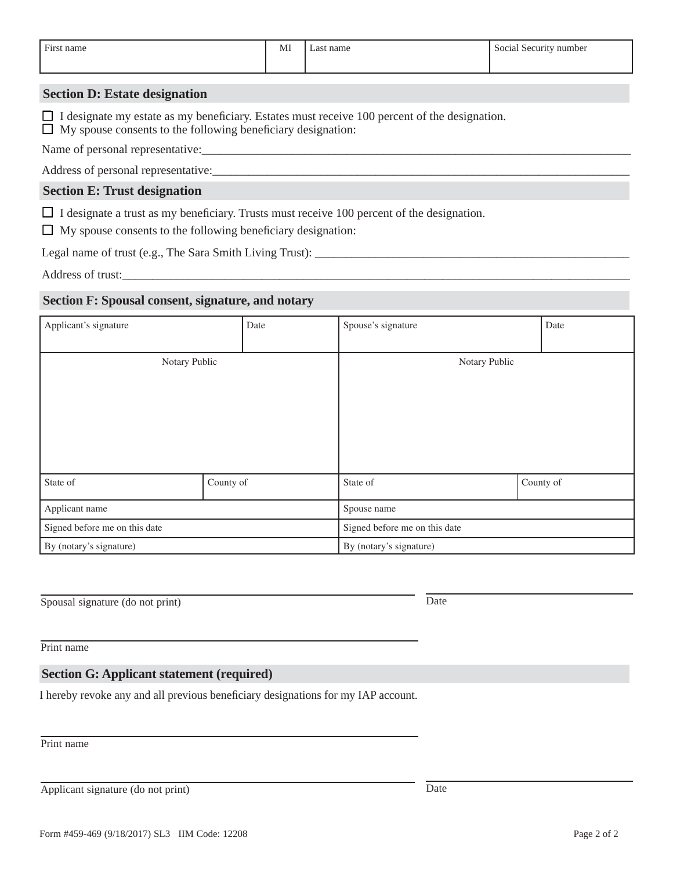| First name | MI | name<br>$^{\circ}$ | Social<br>Security<br>' number |
|------------|----|--------------------|--------------------------------|
|            |    |                    |                                |
|            |    |                    |                                |

# **Section D: Estate designation**

 $\Box$  I designate my estate as my beneficiary. Estates must receive 100 percent of the designation.  $\Box$  My spouse consents to the following beneficiary designation:

Name of personal representative:

Address of personal representative:

# **Section E: Trust designation**

 $\Box$  I designate a trust as my beneficiary. Trusts must receive 100 percent of the designation.

 $\Box$  My spouse consents to the following beneficiary designation:

Legal name of trust (e.g., The Sara Smith Living Trust):

Address of trust:

# **Date of the trust established:** Section F: Spousal consent, signature, and notary

| Applicant's signature         | Date      | Spouse's signature            | Date          |  |  |
|-------------------------------|-----------|-------------------------------|---------------|--|--|
|                               |           |                               |               |  |  |
| Notary Public                 |           |                               | Notary Public |  |  |
|                               |           |                               |               |  |  |
|                               |           |                               |               |  |  |
|                               |           |                               |               |  |  |
|                               |           |                               |               |  |  |
|                               |           |                               |               |  |  |
|                               |           |                               |               |  |  |
| State of                      | County of | State of                      | County of     |  |  |
| Applicant name                |           | Spouse name                   |               |  |  |
| Signed before me on this date |           | Signed before me on this date |               |  |  |
| By (notary's signature)       |           | By (notary's signature)       |               |  |  |

Spousal signature (do not print) Date

Print name

# **Section G: Applicant statement (required)**

I hereby revoke any and all previous beneficiary designations for my IAP account.

Print name

Applicant signature (do not print) Date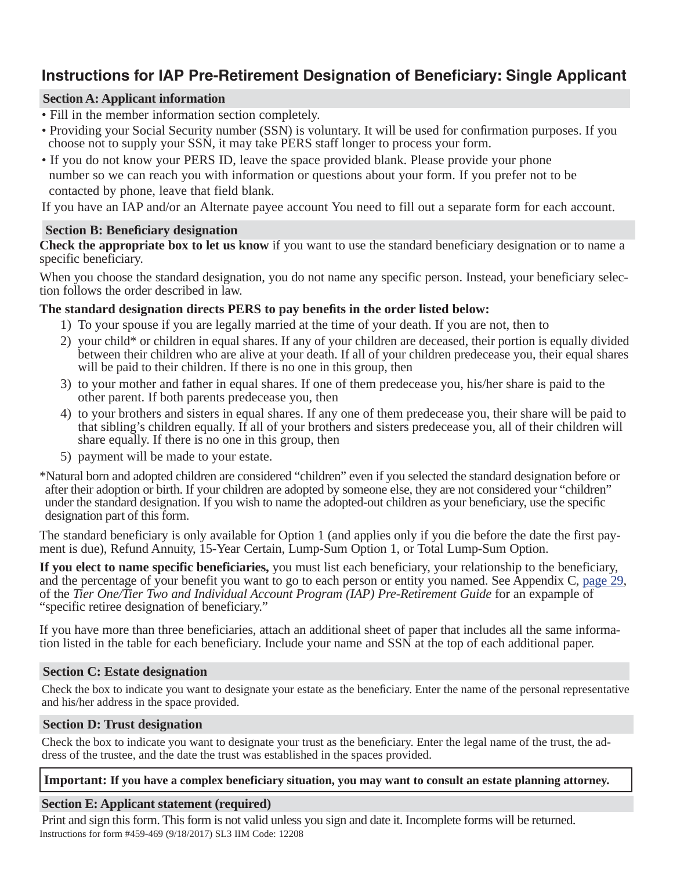# **Instructions for IAP Pre-Retirement Designation of Beneficiary: Single Applicant**

## **Section A: Applicant information**

- Fill in the member information section completely.
- Providing your Social Security number (SSN) is voluntary. It will be used for confirmation purposes. If you choose not to supply your SSN, it may take PERS staff longer to process your form.
- If you do not know your PERS ID, leave the space provided blank. Please provide your phone number so we can reach you with information or questions about your form. If you prefer not to be contacted by phone, leave that field blank.

If you have an IAP and/or an Alternate payee account You need to fill out a separate form for each account.

# **Section B: Beneficiary designation**

**Check the appropriate box to let us know** if you want to use the standard beneficiary designation or to name a specific beneficiary.

When you choose the standard designation, you do not name any specific person. Instead, your beneficiary selection follows the order described in law.

# **The standard designation directs PERS to pay benefits in the order listed below:**

- 1) To your spouse if you are legally married at the time of your death. If you are not, then to
- 2) your child\* or children in equal shares. If any of your children are deceased, their portion is equally divided between their children who are alive at your death. If all of your children predecease you, their equal shares will be paid to their children. If there is no one in this group, then
- 3) to your mother and father in equal shares. If one of them predecease you, his/her share is paid to the other parent. If both parents predecease you, then
- 4) to your brothers and sisters in equal shares. If any one of them predecease you, their share will be paid to that sibling's children equally. If all of your brothers and sisters predecease you, all of their children will share equally. If there is no one in this group, then
- 5) payment will be made to your estate.

\*Natural born and adopted children are considered "children" even if you selected the standard designation before or after their adoption or birth. If your children are adopted by someone else, they are not considered your "children" under the standard designation. If you wish to name the adopted-out children as your beneficiary, use the specific designation part of this form.

The standard beneficiary is only available for Option 1 (and applies only if you die before the date the first payment is due), Refund Annuity, 15-Year Certain, Lump-Sum Option 1, or Total Lump-Sum Option.

**If you elect to name specific beneficiaries,** you must list each beneficiary, your relationship to the beneficiary, and the percentage of your benefit you want to go to each person or entity you named. [See Appendix C, page 29,](http://www.oregon.gov/pers/MEM/Tier-One-Tier-Two/Documents/TierOne-TierTwo-Preretirement-Guide.pdf#page=29)  of the *Tier One/Tier Two and Individual Account Program (IAP) Pre-Retirement Guide* for an expample of "specific retiree designation of beneficiary."

If you have more than three beneficiaries, attach an additional sheet of paper that includes all the same information listed in the table for each beneficiary. Include your name and SSN at the top of each additional paper.

## **Section C: Estate designation**

Check the box to indicate you want to designate your estate as the beneficiary. Enter the name of the personal representative and his/her address in the space provided.

# **Section D: Trust designation**

Check the box to indicate you want to designate your trust as the beneficiary. Enter the legal name of the trust, the address of the trustee, and the date the trust was established in the spaces provided.

## **Important: If you have a complex beneficiary situation, you may want to consult an estate planning attorney.**

## **Section E: Applicant statement (required)**

Instructions for form #459-469 (9/18/2017) SL3 IIM Code: 12208 Print and sign this form. This form is not valid unless you sign and date it. Incomplete forms will be returned.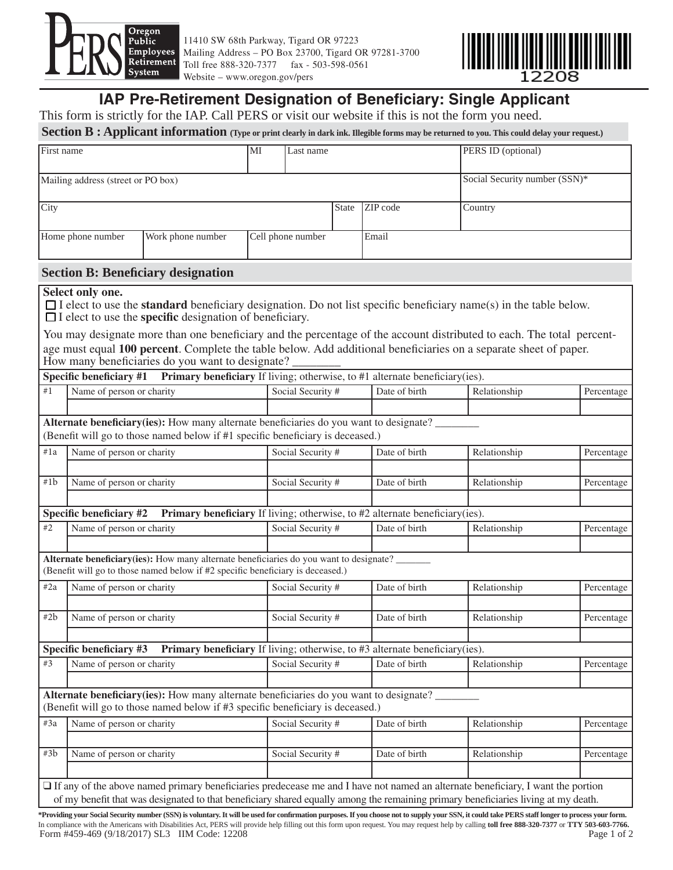<span id="page-6-0"></span>

11410 SW 68th Parkway, Tigard OR 97223 Mailing Address – PO Box 23700, Tigard OR 97281-3700 Toll free 888-320-7377 fax - 503-598-0561 Website – www.oregon.gov/pers



# **IAP Pre-Retirement Designation of Beneficiary: Single Applicant**

This form is strictly for the IAP. Call PERS or visit our website if this is not the form you need.

Section B: Applicant information (Type or print clearly in dark ink. Illegible forms may be returned to you. This could delay your request.)

| First name                         |                   | MI | Last name         |              |                 | <b>PERS ID</b> (optional)     |
|------------------------------------|-------------------|----|-------------------|--------------|-----------------|-------------------------------|
| Mailing address (street or PO box) |                   |    |                   |              |                 | Social Security number (SSN)* |
| City                               |                   |    |                   | <b>State</b> | <b>ZIP</b> code | Country                       |
| Home phone number                  | Work phone number |    | Cell phone number |              | Email           |                               |

#### **Section B: Beneficiary designation**

#### **Select only one.**

 $\Box$  I elect to use the **standard** beneficiary designation. Do not list specific beneficiary name(s) in the table below.  $\Box$  I elect to use the **specific** designation of beneficiary.

You may designate more than one beneficiary and the percentage of the account distributed to each. The total percentage must equal 100 percent. Complete the table below. Add additional beneficiaries on a separate sheet of paper. How many beneficiaries do you want to designate?

| #1  | Name of person or charity                                                                                                                                                       | Primary beneficiary If living; otherwise, to #1 alternate beneficiary(ies).<br>Social Security # | Date of birth | Relationship | Percentage |
|-----|---------------------------------------------------------------------------------------------------------------------------------------------------------------------------------|--------------------------------------------------------------------------------------------------|---------------|--------------|------------|
|     |                                                                                                                                                                                 |                                                                                                  |               |              |            |
|     | <b>Alternate beneficiary(ies):</b> How many alternate beneficiaries do you want to designate?<br>(Benefit will go to those named below if #1 specific beneficiary is deceased.) |                                                                                                  |               |              |            |
| #1a | Name of person or charity                                                                                                                                                       | Social Security #                                                                                | Date of birth | Relationship | Percentage |
| #1b | Name of person or charity                                                                                                                                                       | Social Security #                                                                                | Date of birth | Relationship | Percentage |
|     | <b>Specific beneficiary #2</b>                                                                                                                                                  | <b>Primary beneficiary</b> If living; otherwise, to #2 alternate beneficiary(ies).               |               |              |            |
| #2  | Name of person or charity                                                                                                                                                       | Social Security #                                                                                | Date of birth | Relationship | Percentage |
|     |                                                                                                                                                                                 |                                                                                                  |               |              |            |
|     | Alternate beneficiary(ies): How many alternate beneficiaries do you want to designate?<br>(Benefit will go to those named below if #2 specific beneficiary is deceased.)        |                                                                                                  |               |              |            |
| #2a | Name of person or charity                                                                                                                                                       | Social Security #                                                                                | Date of birth | Relationship | Percentage |
| #2b | Name of person or charity                                                                                                                                                       | Social Security #                                                                                | Date of birth | Relationship |            |
|     | Specific beneficiary #3 Primary beneficiary If living; otherwise, to #3 alternate beneficiary(ies).                                                                             |                                                                                                  |               |              | Percentage |
| #3  | Name of person or charity                                                                                                                                                       | Social Security #                                                                                | Date of birth | Relationship | Percentage |
|     | <b>Alternate beneficiary(ies):</b> How many alternate beneficiaries do you want to designate?<br>(Benefit will go to those named below if #3 specific beneficiary is deceased.) |                                                                                                  |               |              |            |
| #3a | Name of person or charity                                                                                                                                                       | Social Security #                                                                                | Date of birth | Relationship | Percentage |
| #3b | Name of person or charity                                                                                                                                                       | Social Security #                                                                                | Date of birth | Relationship | Percentage |